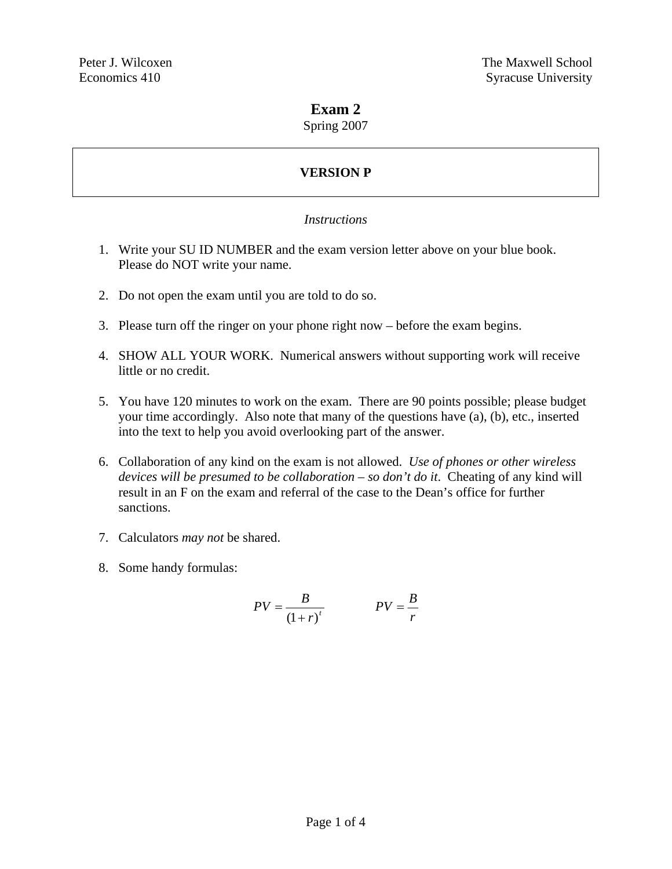### **Exam 2**

Spring 2007

# **VERSION P**

#### *Instructions*

- 1. Write your SU ID NUMBER and the exam version letter above on your blue book. Please do NOT write your name.
- 2. Do not open the exam until you are told to do so.
- 3. Please turn off the ringer on your phone right now before the exam begins.
- 4. SHOW ALL YOUR WORK. Numerical answers without supporting work will receive little or no credit.
- 5. You have 120 minutes to work on the exam. There are 90 points possible; please budget your time accordingly. Also note that many of the questions have (a), (b), etc., inserted into the text to help you avoid overlooking part of the answer.
- 6. Collaboration of any kind on the exam is not allowed. *Use of phones or other wireless devices will be presumed to be collaboration – so don't do it*. Cheating of any kind will result in an F on the exam and referral of the case to the Dean's office for further sanctions.
- 7. Calculators *may not* be shared.
- 8. Some handy formulas:

$$
PV = \frac{B}{\left(1+r\right)^{t}} \qquad PV = \frac{B}{r}
$$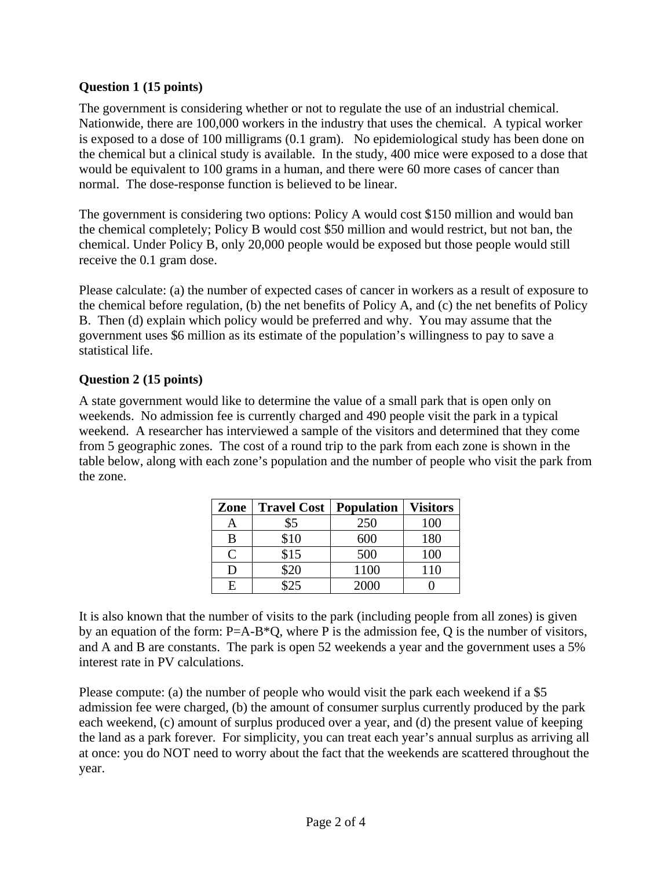### **Question 1 (15 points)**

The government is considering whether or not to regulate the use of an industrial chemical. Nationwide, there are 100,000 workers in the industry that uses the chemical. A typical worker is exposed to a dose of 100 milligrams (0.1 gram). No epidemiological study has been done on the chemical but a clinical study is available. In the study, 400 mice were exposed to a dose that would be equivalent to 100 grams in a human, and there were 60 more cases of cancer than normal. The dose-response function is believed to be linear.

The government is considering two options: Policy A would cost \$150 million and would ban the chemical completely; Policy B would cost \$50 million and would restrict, but not ban, the chemical. Under Policy B, only 20,000 people would be exposed but those people would still receive the 0.1 gram dose.

Please calculate: (a) the number of expected cases of cancer in workers as a result of exposure to the chemical before regulation, (b) the net benefits of Policy A, and (c) the net benefits of Policy B. Then (d) explain which policy would be preferred and why. You may assume that the government uses \$6 million as its estimate of the population's willingness to pay to save a statistical life.

### **Question 2 (15 points)**

A state government would like to determine the value of a small park that is open only on weekends. No admission fee is currently charged and 490 people visit the park in a typical weekend. A researcher has interviewed a sample of the visitors and determined that they come from 5 geographic zones. The cost of a round trip to the park from each zone is shown in the table below, along with each zone's population and the number of people who visit the park from the zone.

| Zone          | <b>Travel Cost</b> | <b>Population</b> | <b>Visitors</b> |
|---------------|--------------------|-------------------|-----------------|
| Α             | \$5                | 250               | 100             |
| B             | \$10               | 600               | 180             |
| $\mathcal{C}$ | \$15               | 500               | 100             |
| D             | \$20               | 1100              | 110             |
| E             | $\mathfrak{O}5$    | 2000              |                 |

It is also known that the number of visits to the park (including people from all zones) is given by an equation of the form: P=A-B\*Q, where P is the admission fee, Q is the number of visitors, and A and B are constants. The park is open 52 weekends a year and the government uses a 5% interest rate in PV calculations.

Please compute: (a) the number of people who would visit the park each weekend if a \$5 admission fee were charged, (b) the amount of consumer surplus currently produced by the park each weekend, (c) amount of surplus produced over a year, and (d) the present value of keeping the land as a park forever. For simplicity, you can treat each year's annual surplus as arriving all at once: you do NOT need to worry about the fact that the weekends are scattered throughout the year.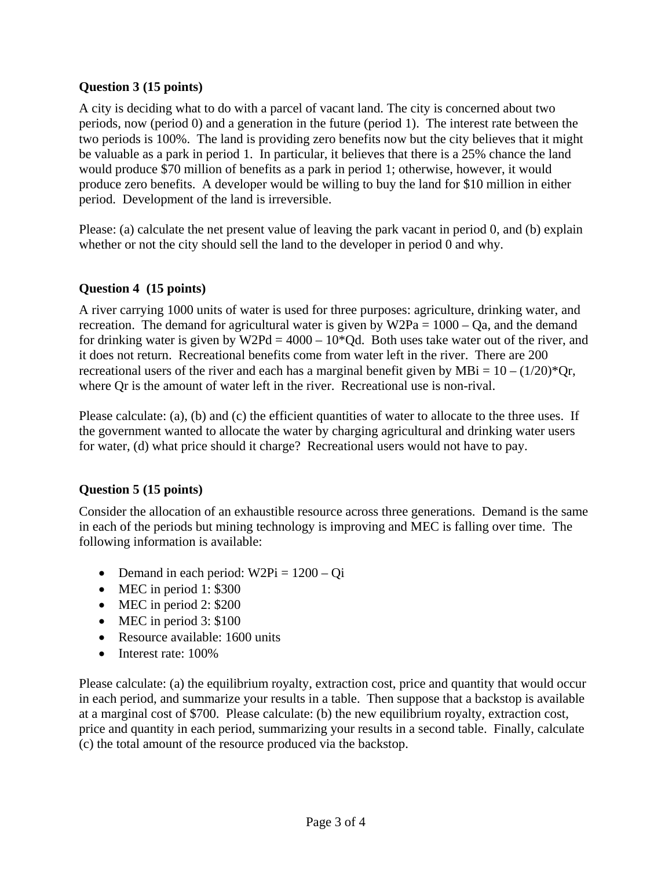### **Question 3 (15 points)**

A city is deciding what to do with a parcel of vacant land. The city is concerned about two periods, now (period 0) and a generation in the future (period 1). The interest rate between the two periods is 100%. The land is providing zero benefits now but the city believes that it might be valuable as a park in period 1. In particular, it believes that there is a 25% chance the land would produce \$70 million of benefits as a park in period 1; otherwise, however, it would produce zero benefits. A developer would be willing to buy the land for \$10 million in either period. Development of the land is irreversible.

Please: (a) calculate the net present value of leaving the park vacant in period 0, and (b) explain whether or not the city should sell the land to the developer in period 0 and why.

### **Question 4 (15 points)**

A river carrying 1000 units of water is used for three purposes: agriculture, drinking water, and recreation. The demand for agricultural water is given by  $W2Pa = 1000 - Qa$ , and the demand for drinking water is given by W2Pd =  $4000 - 10*$ Qd. Both uses take water out of the river, and it does not return. Recreational benefits come from water left in the river. There are 200 recreational users of the river and each has a marginal benefit given by MBi =  $10 - (1/20)^*$ Qr, where Qr is the amount of water left in the river. Recreational use is non-rival.

Please calculate: (a), (b) and (c) the efficient quantities of water to allocate to the three uses. If the government wanted to allocate the water by charging agricultural and drinking water users for water, (d) what price should it charge? Recreational users would not have to pay.

## **Question 5 (15 points)**

Consider the allocation of an exhaustible resource across three generations. Demand is the same in each of the periods but mining technology is improving and MEC is falling over time. The following information is available:

- Demand in each period:  $W2Pi = 1200 Qi$
- MEC in period 1: \$300
- MEC in period 2: \$200
- MEC in period 3: \$100
- Resource available: 1600 units
- Interest rate: 100%

Please calculate: (a) the equilibrium royalty, extraction cost, price and quantity that would occur in each period, and summarize your results in a table. Then suppose that a backstop is available at a marginal cost of \$700. Please calculate: (b) the new equilibrium royalty, extraction cost, price and quantity in each period, summarizing your results in a second table. Finally, calculate (c) the total amount of the resource produced via the backstop.